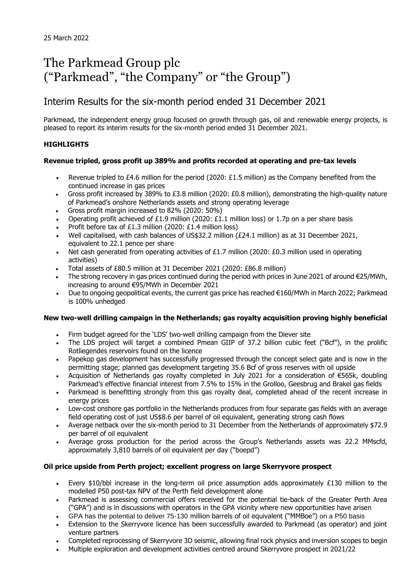# The Parkmead Group plc ("Parkmead", "the Company" or "the Group")

# Interim Results for the six-month period ended 31 December 2021

Parkmead, the independent energy group focused on growth through gas, oil and renewable energy projects, is pleased to report its interim results for the six-month period ended 31 December 2021.

### **HIGHLIGHTS**

### **Revenue tripled, gross profit up 389% and profits recorded at operating and pre-tax levels**

- Revenue tripled to £4.6 million for the period (2020: £1.5 million) as the Company benefited from the continued increase in gas prices
- Gross profit increased by 389% to £3.8 million (2020: £0.8 million), demonstrating the high-quality nature of Parkmead's onshore Netherlands assets and strong operating leverage
- Gross profit margin increased to 82% (2020: 50%)
- Operating profit achieved of £1.9 million (2020: £1.1 million loss) or 1.7p on a per share basis
- Profit before tax of £1.3 million (2020: £1.4 million loss)
- Well capitalised, with cash balances of US\$32.2 million (£24.1 million) as at 31 December 2021, equivalent to 22.1 pence per share
- Net cash generated from operating activities of £1.7 million (2020: £0.3 million used in operating activities)
- Total assets of £80.5 million at 31 December 2021 (2020: £86.8 million)
- The strong recovery in gas prices continued during the period with prices in June 2021 of around  $\epsilon$ 25/MWh, increasing to around €95/MWh in December 2021
- Due to ongoing geopolitical events, the current gas price has reached €160/MWh in March 2022; Parkmead is 100% unhedged

### **New two-well drilling campaign in the Netherlands; gas royalty acquisition proving highly beneficial**

- Firm budget agreed for the 'LDS' two-well drilling campaign from the Diever site
- The LDS project will target a combined Pmean GIIP of 37.2 billion cubic feet ("Bcf"), in the prolific Rotliegendes reservoirs found on the licence
- Papekop gas development has successfully progressed through the concept select gate and is now in the permitting stage; planned gas development targeting 35.6 Bcf of gross reserves with oil upside
- Acquisition of Netherlands gas royalty completed in July 2021 for a consideration of €565k, doubling Parkmead's effective financial interest from 7.5% to 15% in the Grolloo, Geesbrug and Brakel gas fields
- Parkmead is benefitting strongly from this gas royalty deal, completed ahead of the recent increase in energy prices
- Low-cost onshore gas portfolio in the Netherlands produces from four separate gas fields with an average field operating cost of just US\$8.6 per barrel of oil equivalent, generating strong cash flows
- Average netback over the six-month period to 31 December from the Netherlands of approximately \$72.9 per barrel of oil equivalent
- Average gross production for the period across the Group's Netherlands assets was 22.2 MMscfd, approximately 3,810 barrels of oil equivalent per day ("boepd")

### **Oil price upside from Perth project; excellent progress on large Skerryvore prospect**

- Every \$10/bbl increase in the long-term oil price assumption adds approximately £130 million to the modelled P50 post-tax NPV of the Perth field development alone
- Parkmead is assessing commercial offers received for the potential tie-back of the Greater Perth Area ("GPA") and is in discussions with operators in the GPA vicinity where new opportunities have arisen
- GPA has the potential to deliver 75-130 million barrels of oil equivalent ("MMBoe") on a P50 basis
- Extension to the Skerryvore licence has been successfully awarded to Parkmead (as operator) and joint venture partners
- Completed reprocessing of Skerryvore 3D seismic, allowing final rock physics and inversion scopes to begin
- Multiple exploration and development activities centred around Skerryvore prospect in 2021/22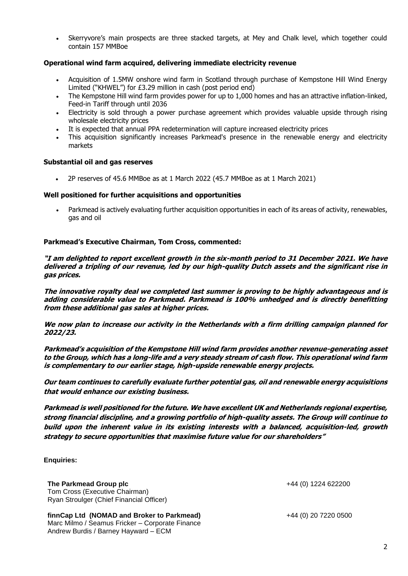• Skerryvore's main prospects are three stacked targets, at Mey and Chalk level, which together could contain 157 MMBoe

### **Operational wind farm acquired, delivering immediate electricity revenue**

- Acquisition of 1.5MW onshore wind farm in Scotland through purchase of Kempstone Hill Wind Energy Limited ("KHWEL") for £3.29 million in cash (post period end)
- The Kempstone Hill wind farm provides power for up to 1,000 homes and has an attractive inflation-linked, Feed-in Tariff through until 2036
- Electricity is sold through a power purchase agreement which provides valuable upside through rising wholesale electricity prices
- It is expected that annual PPA redetermination will capture increased electricity prices
- This acquisition significantly increases Parkmead's presence in the renewable energy and electricity markets

### **Substantial oil and gas reserves**

• 2P reserves of 45.6 MMBoe as at 1 March 2022 (45.7 MMBoe as at 1 March 2021)

#### **Well positioned for further acquisitions and opportunities**

• Parkmead is actively evaluating further acquisition opportunities in each of its areas of activity, renewables, gas and oil

### **Parkmead's Executive Chairman, Tom Cross, commented:**

**"I am delighted to report excellent growth in the six-month period to 31 December 2021. We have delivered a tripling of our revenue, led by our high-quality Dutch assets and the significant rise in gas prices.**

**The innovative royalty deal we completed last summer is proving to be highly advantageous and is adding considerable value to Parkmead. Parkmead is 100% unhedged and is directly benefitting from these additional gas sales at higher prices.**

**We now plan to increase our activity in the Netherlands with a firm drilling campaign planned for 2022/23.**

**Parkmead's acquisition of the Kempstone Hill wind farm provides another revenue-generating asset to the Group, which has a long-life and a very steady stream of cash flow. This operational wind farm is complementary to our earlier stage, high-upside renewable energy projects.**

**Our team continues to carefully evaluate further potential gas, oil and renewable energy acquisitions that would enhance our existing business.** 

**Parkmead is well positioned for the future. We have excellent UK and Netherlands regional expertise, strong financial discipline, and a growing portfolio of high-quality assets. The Group will continue to build upon the inherent value in its existing interests with a balanced, acquisition-led, growth strategy to secure opportunities that maximise future value for our shareholders"** 

### **Enquiries:**

**The Parkmead Group plc the Parkmead Group plc the Parkmead Group plc +44** (0) 1224 622200 Tom Cross (Executive Chairman) Ryan Stroulger (Chief Financial Officer)

**finnCap Ltd (NOMAD and Broker to Parkmead)** +44 (0) 20 7220 0500 Marc Milmo / Seamus Fricker – Corporate Finance Andrew Burdis / Barney Hayward – ECM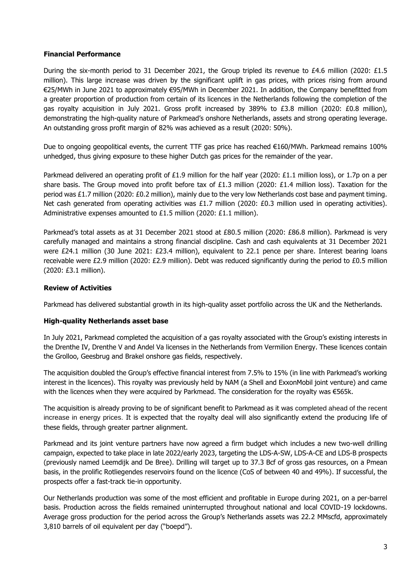### **Financial Performance**

During the six-month period to 31 December 2021, the Group tripled its revenue to £4.6 million (2020: £1.5 million). This large increase was driven by the significant uplift in gas prices, with prices rising from around €25/MWh in June 2021 to approximately €95/MWh in December 2021. In addition, the Company benefitted from a greater proportion of production from certain of its licences in the Netherlands following the completion of the gas royalty acquisition in July 2021. Gross profit increased by 389% to £3.8 million (2020: £0.8 million), demonstrating the high-quality nature of Parkmead's onshore Netherlands, assets and strong operating leverage. An outstanding gross profit margin of 82% was achieved as a result (2020: 50%).

Due to ongoing geopolitical events, the current TTF gas price has reached €160/MWh. Parkmead remains 100% unhedged, thus giving exposure to these higher Dutch gas prices for the remainder of the year.

Parkmead delivered an operating profit of £1.9 million for the half year (2020: £1.1 million loss), or 1.7p on a per share basis. The Group moved into profit before tax of £1.3 million (2020: £1.4 million loss). Taxation for the period was £1.7 million (2020: £0.2 million), mainly due to the very low Netherlands cost base and payment timing. Net cash generated from operating activities was £1.7 million (2020: £0.3 million used in operating activities). Administrative expenses amounted to £1.5 million (2020: £1.1 million).

Parkmead's total assets as at 31 December 2021 stood at £80.5 million (2020: £86.8 million). Parkmead is very carefully managed and maintains a strong financial discipline. Cash and cash equivalents at 31 December 2021 were £24.1 million (30 June 2021: £23.4 million), equivalent to 22.1 pence per share. Interest bearing loans receivable were £2.9 million (2020: £2.9 million). Debt was reduced significantly during the period to £0.5 million (2020: £3.1 million).

### **Review of Activities**

Parkmead has delivered substantial growth in its high-quality asset portfolio across the UK and the Netherlands.

### **High-quality Netherlands asset base**

In July 2021, Parkmead completed the acquisition of a gas royalty associated with the Group's existing interests in the Drenthe IV, Drenthe V and Andel Va licenses in the Netherlands from Vermilion Energy. These licences contain the Grolloo, Geesbrug and Brakel onshore gas fields, respectively.

The acquisition doubled the Group's effective financial interest from 7.5% to 15% (in line with Parkmead's working interest in the licences). This royalty was previously held by NAM (a Shell and ExxonMobil joint venture) and came with the licences when they were acquired by Parkmead. The consideration for the royalty was €565k.

The acquisition is already proving to be of significant benefit to Parkmead as it was completed ahead of the recent increase in energy prices. It is expected that the royalty deal will also significantly extend the producing life of these fields, through greater partner alignment.

Parkmead and its joint venture partners have now agreed a firm budget which includes a new two-well drilling campaign, expected to take place in late 2022/early 2023, targeting the LDS-A-SW, LDS-A-CE and LDS-B prospects (previously named Leemdijk and De Bree). Drilling will target up to 37.3 Bcf of gross gas resources, on a Pmean basis, in the prolific Rotliegendes reservoirs found on the licence (CoS of between 40 and 49%). If successful, the prospects offer a fast-track tie-in opportunity.

Our Netherlands production was some of the most efficient and profitable in Europe during 2021, on a per-barrel basis. Production across the fields remained uninterrupted throughout national and local COVID-19 lockdowns. Average gross production for the period across the Group's Netherlands assets was 22.2 MMscfd, approximately 3,810 barrels of oil equivalent per day ("boepd").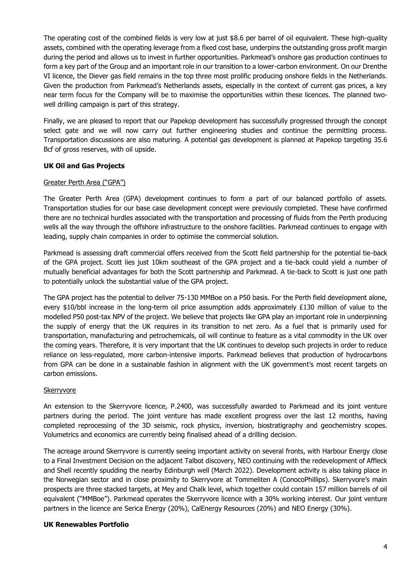The operating cost of the combined fields is very low at just \$8.6 per barrel of oil equivalent. These high-quality assets, combined with the operating leverage from a fixed cost base, underpins the outstanding gross profit margin during the period and allows us to invest in further opportunities. Parkmead's onshore gas production continues to form a key part of the Group and an important role in our transition to a lower-carbon environment. On our Drenthe VI licence, the Diever gas field remains in the top three most prolific producing onshore fields in the Netherlands. Given the production from Parkmead's Netherlands assets, especially in the context of current gas prices, a key near term focus for the Company will be to maximise the opportunities within these licences. The planned twowell drilling campaign is part of this strategy.

Finally, we are pleased to report that our Papekop development has successfully progressed through the concept select gate and we will now carry out further engineering studies and continue the permitting process. Transportation discussions are also maturing. A potential gas development is planned at Papekop targeting 35.6 Bcf of gross reserves, with oil upside.

### **UK Oil and Gas Projects**

### Greater Perth Area ("GPA")

The Greater Perth Area (GPA) development continues to form a part of our balanced portfolio of assets. Transportation studies for our base case development concept were previously completed. These have confirmed there are no technical hurdles associated with the transportation and processing of fluids from the Perth producing wells all the way through the offshore infrastructure to the onshore facilities. Parkmead continues to engage with leading, supply chain companies in order to optimise the commercial solution.

Parkmead is assessing draft commercial offers received from the Scott field partnership for the potential tie-back of the GPA project. Scott lies just 10km southeast of the GPA project and a tie-back could yield a number of mutually beneficial advantages for both the Scott partnership and Parkmead. A tie-back to Scott is just one path to potentially unlock the substantial value of the GPA project.

The GPA project has the potential to deliver 75-130 MMBoe on a P50 basis. For the Perth field development alone, every \$10/bbl increase in the long-term oil price assumption adds approximately £130 million of value to the modelled P50 post-tax NPV of the project. We believe that projects like GPA play an important role in underpinning the supply of energy that the UK requires in its transition to net zero. As a fuel that is primarily used for transportation, manufacturing and petrochemicals, oil will continue to feature as a vital commodity in the UK over the coming years. Therefore, it is very important that the UK continues to develop such projects in order to reduce reliance on less-regulated, more carbon-intensive imports. Parkmead believes that production of hydrocarbons from GPA can be done in a sustainable fashion in alignment with the UK government's most recent targets on carbon emissions.

### **Skerryvore**

An extension to the Skerryvore licence, P.2400, was successfully awarded to Parkmead and its joint venture partners during the period. The joint venture has made excellent progress over the last 12 months, having completed reprocessing of the 3D seismic, rock physics, inversion, biostratigraphy and geochemistry scopes. Volumetrics and economics are currently being finalised ahead of a drilling decision.

The acreage around Skerryvore is currently seeing important activity on several fronts, with Harbour Energy close to a Final Investment Decision on the adjacent Talbot discovery, NEO continuing with the redevelopment of Affleck and Shell recently spudding the nearby Edinburgh well (March 2022). Development activity is also taking place in the Norwegian sector and in close proximity to Skerryvore at Tommeliten A (ConocoPhillips). Skerryvore's main prospects are three stacked targets, at Mey and Chalk level, which together could contain 157 million barrels of oil equivalent ("MMBoe"). Parkmead operates the Skerryvore licence with a 30% working interest. Our joint venture partners in the licence are Serica Energy (20%), CalEnergy Resources (20%) and NEO Energy (30%).

### **UK Renewables Portfolio**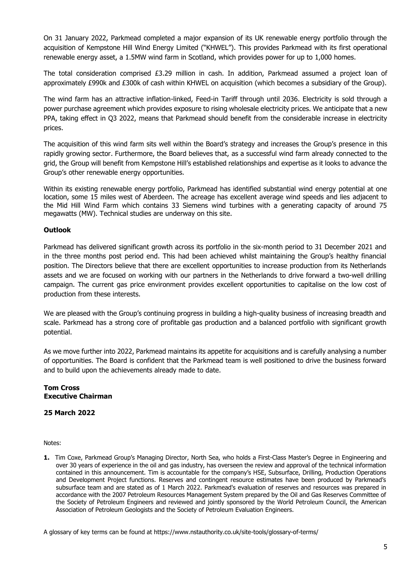On 31 January 2022, Parkmead completed a major expansion of its UK renewable energy portfolio through the acquisition of Kempstone Hill Wind Energy Limited ("KHWEL"). This provides Parkmead with its first operational renewable energy asset, a 1.5MW wind farm in Scotland, which provides power for up to 1,000 homes.

The total consideration comprised £3.29 million in cash. In addition, Parkmead assumed a project loan of approximately £990k and £300k of cash within KHWEL on acquisition (which becomes a subsidiary of the Group).

The wind farm has an attractive inflation-linked, Feed-in Tariff through until 2036. Electricity is sold through a power purchase agreement which provides exposure to rising wholesale electricity prices. We anticipate that a new PPA, taking effect in Q3 2022, means that Parkmead should benefit from the considerable increase in electricity prices.

The acquisition of this wind farm sits well within the Board's strategy and increases the Group's presence in this rapidly growing sector. Furthermore, the Board believes that, as a successful wind farm already connected to the grid, the Group will benefit from Kempstone Hill's established relationships and expertise as it looks to advance the Group's other renewable energy opportunities.

Within its existing renewable energy portfolio, Parkmead has identified substantial wind energy potential at one location, some 15 miles west of Aberdeen. The acreage has excellent average wind speeds and lies adjacent to the Mid Hill Wind Farm which contains 33 Siemens wind turbines with a generating capacity of around 75 megawatts (MW). Technical studies are underway on this site.

### **Outlook**

Parkmead has delivered significant growth across its portfolio in the six-month period to 31 December 2021 and in the three months post period end. This had been achieved whilst maintaining the Group's healthy financial position. The Directors believe that there are excellent opportunities to increase production from its Netherlands assets and we are focused on working with our partners in the Netherlands to drive forward a two-well drilling campaign. The current gas price environment provides excellent opportunities to capitalise on the low cost of production from these interests.

We are pleased with the Group's continuing progress in building a high-quality business of increasing breadth and scale. Parkmead has a strong core of profitable gas production and a balanced portfolio with significant growth potential.

As we move further into 2022, Parkmead maintains its appetite for acquisitions and is carefully analysing a number of opportunities. The Board is confident that the Parkmead team is well positioned to drive the business forward and to build upon the achievements already made to date.

#### **Tom Cross Executive Chairman**

### **25 March 2022**

Notes:

**1.** Tim Coxe, Parkmead Group's Managing Director, North Sea, who holds a First-Class Master's Degree in Engineering and over 30 years of experience in the oil and gas industry, has overseen the review and approval of the technical information contained in this announcement. Tim is accountable for the company's HSE, Subsurface, Drilling, Production Operations and Development Project functions. Reserves and contingent resource estimates have been produced by Parkmead's subsurface team and are stated as of 1 March 2022. Parkmead's evaluation of reserves and resources was prepared in accordance with the 2007 Petroleum Resources Management System prepared by the Oil and Gas Reserves Committee of the Society of Petroleum Engineers and reviewed and jointly sponsored by the World Petroleum Council, the American Association of Petroleum Geologists and the Society of Petroleum Evaluation Engineers.

A glossary of key terms can be found at https://www.nstauthority.co.uk/site-tools/glossary-of-terms/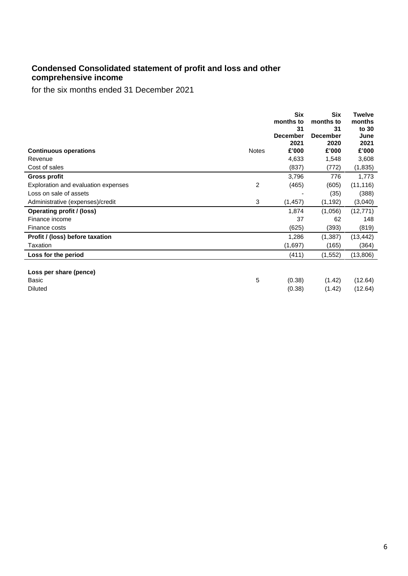### **Condensed Consolidated statement of profit and loss and other comprehensive income**

for the six months ended 31 December 2021

|                                              | Six<br>months to<br>31<br><b>December</b><br>2021 | Six<br>months to<br>31<br><b>December</b><br>2020 | <b>Twelve</b><br>months<br>to 30<br>June<br>2021 |
|----------------------------------------------|---------------------------------------------------|---------------------------------------------------|--------------------------------------------------|
| <b>Continuous operations</b><br><b>Notes</b> | £'000                                             | £'000                                             | £'000                                            |
| Revenue                                      | 4,633                                             | 1,548                                             | 3,608                                            |
| Cost of sales                                | (837)                                             | (772)                                             | (1,835)                                          |
| <b>Gross profit</b>                          | 3,796                                             | 776                                               | 1,773                                            |
| 2<br>Exploration and evaluation expenses     | (465)                                             | (605)                                             | (11, 116)                                        |
| Loss on sale of assets                       |                                                   | (35)                                              | (388)                                            |
| 3<br>Administrative (expenses)/credit        | (1, 457)                                          | (1, 192)                                          | (3,040)                                          |
| Operating profit / (loss)                    | 1,874                                             | (1,056)                                           | (12, 771)                                        |
| Finance income                               | 37                                                | 62                                                | 148                                              |
| Finance costs                                | (625)                                             | (393)                                             | (819)                                            |
| Profit / (loss) before taxation              | 1,286                                             | (1, 387)                                          | (13, 442)                                        |
| <b>Taxation</b>                              | (1,697)                                           | (165)                                             | (364)                                            |
| Loss for the period                          | (411)                                             | (1, 552)                                          | (13,806)                                         |
| Loss per share (pence)<br>5<br>Basic         | (0.38)                                            | (1.42)                                            | (12.64)                                          |
| <b>Diluted</b>                               | (0.38)                                            | (1.42)                                            | (12.64)                                          |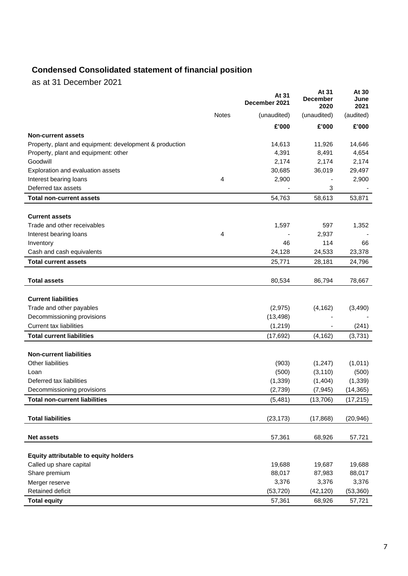# **Condensed Consolidated statement of financial position**

as at 31 December 2021

|                                                         |       | At 31<br>December 2021 | At 31<br><b>December</b><br>2020 | At 30<br>June<br>2021 |
|---------------------------------------------------------|-------|------------------------|----------------------------------|-----------------------|
|                                                         | Notes | (unaudited)            | (unaudited)                      | (audited)             |
|                                                         |       | £'000                  | £'000                            | £'000                 |
| <b>Non-current assets</b>                               |       |                        |                                  |                       |
| Property, plant and equipment: development & production |       | 14,613                 | 11,926                           | 14,646                |
| Property, plant and equipment: other                    |       | 4,391                  | 8,491                            | 4,654                 |
| Goodwill                                                |       | 2,174                  | 2,174                            | 2,174                 |
| Exploration and evaluation assets                       |       | 30,685                 | 36,019                           | 29,497                |
| Interest bearing loans                                  | 4     | 2,900                  |                                  | 2,900                 |
| Deferred tax assets                                     |       |                        | 3                                |                       |
| <b>Total non-current assets</b>                         |       | 54,763                 | 58,613                           | 53,871                |
| <b>Current assets</b>                                   |       |                        |                                  |                       |
| Trade and other receivables                             |       | 1,597                  | 597                              | 1,352                 |
| Interest bearing loans                                  | 4     |                        | 2,937                            |                       |
| Inventory                                               |       | 46                     | 114                              | 66                    |
| Cash and cash equivalents                               |       | 24,128                 | 24,533                           | 23,378                |
| <b>Total current assets</b>                             |       | 25,771                 | 28,181                           | 24,796                |
|                                                         |       |                        |                                  |                       |
| <b>Total assets</b>                                     |       | 80,534                 | 86,794                           | 78,667                |
|                                                         |       |                        |                                  |                       |
| <b>Current liabilities</b>                              |       |                        |                                  |                       |
| Trade and other payables                                |       | (2, 975)               | (4, 162)                         | (3,490)               |
| Decommissioning provisions                              |       | (13, 498)              |                                  |                       |
| <b>Current tax liabilities</b>                          |       | (1,219)                |                                  | (241)                 |
| <b>Total current liabilities</b>                        |       | (17, 692)              | (4, 162)                         | (3,731)               |
| <b>Non-current liabilities</b>                          |       |                        |                                  |                       |
| Other liabilities                                       |       | (903)                  | (1,247)                          | (1,011)               |
| Loan                                                    |       | (500)                  | (3, 110)                         | (500)                 |
| Deferred tax liabilities                                |       | (1, 339)               | (1,404)                          | (1, 339)              |
| Decommissioning provisions                              |       | (2,739)                | (7, 945)                         | (14, 365)             |
| <b>Total non-current liabilities</b>                    |       | (5, 481)               | (13, 706)                        | (17, 215)             |
|                                                         |       |                        |                                  |                       |
| <b>Total liabilities</b>                                |       | (23, 173)              | (17, 868)                        | (20, 946)             |
| <b>Net assets</b>                                       |       | 57,361                 | 68,926                           |                       |
|                                                         |       |                        |                                  | 57,721                |
| Equity attributable to equity holders                   |       |                        |                                  |                       |
| Called up share capital                                 |       | 19,688                 | 19,687                           | 19,688                |
| Share premium                                           |       | 88,017                 | 87,983                           | 88,017                |
| Merger reserve                                          |       | 3,376                  | 3,376                            | 3,376                 |
| Retained deficit                                        |       | (53, 720)              | (42, 120)                        | (53, 360)             |
| <b>Total equity</b>                                     |       | 57,361                 | 68,926                           | 57,721                |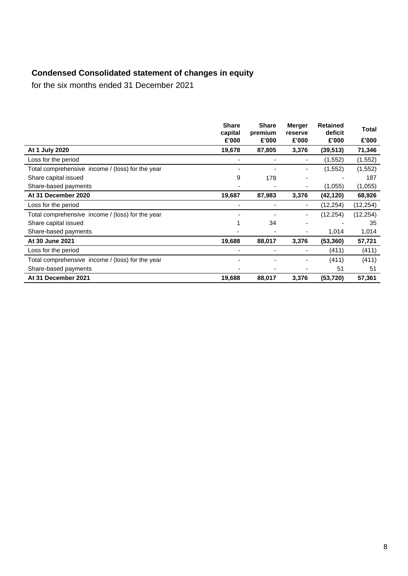# **Condensed Consolidated statement of changes in equity**

for the six months ended 31 December 2021

|                                                  | <b>Share</b><br>capital | <b>Share</b><br>premium | <b>Merger</b><br>reserve | <b>Retained</b><br>deficit | Total     |
|--------------------------------------------------|-------------------------|-------------------------|--------------------------|----------------------------|-----------|
|                                                  | £'000                   | £'000                   | £'000                    | £'000                      | £'000     |
| At 1 July 2020                                   | 19,678                  | 87,805                  | 3,376                    | (39, 513)                  | 71,346    |
| Loss for the period                              |                         |                         | $\overline{\phantom{0}}$ | (1, 552)                   | (1, 552)  |
| Total comprehensive income / (loss) for the year |                         |                         | -                        | (1, 552)                   | (1,552)   |
| Share capital issued                             | 9                       | 178                     | $\overline{\phantom{0}}$ |                            | 187       |
| Share-based payments                             |                         |                         | -                        | (1,055)                    | (1,055)   |
| At 31 December 2020                              | 19,687                  | 87,983                  | 3,376                    | (42, 120)                  | 68,926    |
| Loss for the period                              |                         |                         | ۰                        | (12, 254)                  | (12, 254) |
| Total comprehensive income / (loss) for the year |                         |                         | $\overline{\phantom{a}}$ | (12, 254)                  | (12, 254) |
| Share capital issued                             |                         | 34                      |                          |                            | 35        |
| Share-based payments                             |                         |                         | -                        | 1,014                      | 1,014     |
| At 30 June 2021                                  | 19,688                  | 88,017                  | 3,376                    | (53, 360)                  | 57,721    |
| Loss for the period                              |                         |                         |                          | (411)                      | (411)     |
| Total comprehensive income / (loss) for the year |                         |                         |                          | (411)                      | (411)     |
| Share-based payments                             |                         |                         |                          | 51                         | 51        |
| At 31 December 2021                              | 19,688                  | 88,017                  | 3,376                    | (53, 720)                  | 57,361    |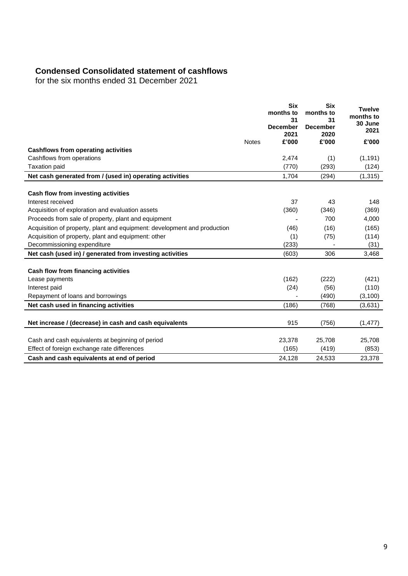## **Condensed Consolidated statement of cashflows**

for the six months ended 31 December 2021

|                                                                          |              | <b>Six</b><br>months to<br>31<br><b>December</b><br>2021 | <b>Six</b><br>months to<br>31<br><b>December</b><br>2020 | <b>Twelve</b><br>months to<br>30 June<br>2021 |
|--------------------------------------------------------------------------|--------------|----------------------------------------------------------|----------------------------------------------------------|-----------------------------------------------|
|                                                                          | <b>Notes</b> | £'000                                                    | £'000                                                    | £'000                                         |
| <b>Cashflows from operating activities</b>                               |              |                                                          |                                                          |                                               |
| Cashflows from operations                                                |              | 2,474                                                    | (1)                                                      | (1, 191)                                      |
| <b>Taxation paid</b>                                                     |              | (770)                                                    | (293)                                                    | (124)                                         |
| Net cash generated from / (used in) operating activities                 |              | 1,704                                                    | (294)                                                    | (1, 315)                                      |
|                                                                          |              |                                                          |                                                          |                                               |
| Cash flow from investing activities<br>Interest received                 |              | 37                                                       | 43                                                       | 148                                           |
| Acquisition of exploration and evaluation assets                         |              | (360)                                                    | (346)                                                    | (369)                                         |
|                                                                          |              |                                                          | 700                                                      | 4,000                                         |
| Proceeds from sale of property, plant and equipment                      |              |                                                          |                                                          |                                               |
| Acquisition of property, plant and equipment: development and production |              | (46)                                                     | (16)                                                     | (165)                                         |
| Acquisition of property, plant and equipment: other                      |              | (1)                                                      | (75)                                                     | (114)                                         |
| Decommissioning expenditure                                              |              | (233)                                                    |                                                          | (31)                                          |
| Net cash (used in) / generated from investing activities                 |              | (603)                                                    | 306                                                      | 3,468                                         |
| Cash flow from financing activities                                      |              |                                                          |                                                          |                                               |
| Lease payments                                                           |              | (162)                                                    | (222)                                                    | (421)                                         |
| Interest paid                                                            |              | (24)                                                     | (56)                                                     | (110)                                         |
| Repayment of loans and borrowings                                        |              |                                                          | (490)                                                    | (3, 100)                                      |
| Net cash used in financing activities                                    |              | (186)                                                    | (768)                                                    | (3,631)                                       |
| Net increase / (decrease) in cash and cash equivalents                   |              | 915                                                      | (756)                                                    | (1, 477)                                      |
|                                                                          |              |                                                          |                                                          |                                               |
| Cash and cash equivalents at beginning of period                         |              | 23,378                                                   | 25,708                                                   | 25,708                                        |
| Effect of foreign exchange rate differences                              |              | (165)                                                    | (419)                                                    | (853)                                         |
| Cash and cash equivalents at end of period                               |              | 24,128                                                   | 24,533                                                   | 23,378                                        |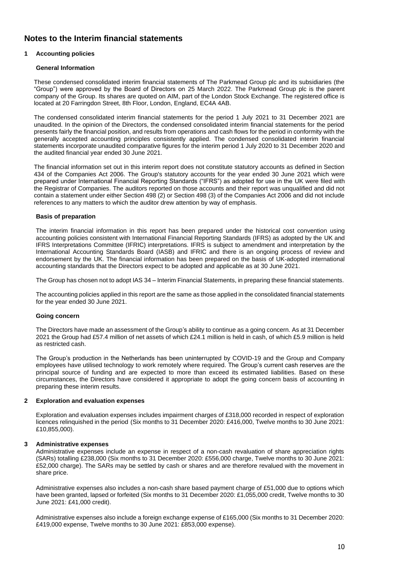### **Notes to the Interim financial statements**

#### **1 Accounting policies**

#### **General Information**

These condensed consolidated interim financial statements of The Parkmead Group plc and its subsidiaries (the "Group") were approved by the Board of Directors on 25 March 2022. The Parkmead Group plc is the parent company of the Group. Its shares are quoted on AIM, part of the London Stock Exchange. The registered office is located at 20 Farringdon Street, 8th Floor, London, England, EC4A 4AB.

The condensed consolidated interim financial statements for the period 1 July 2021 to 31 December 2021 are unaudited. In the opinion of the Directors, the condensed consolidated interim financial statements for the period presents fairly the financial position, and results from operations and cash flows for the period in conformity with the generally accepted accounting principles consistently applied. The condensed consolidated interim financial statements incorporate unaudited comparative figures for the interim period 1 July 2020 to 31 December 2020 and the audited financial year ended 30 June 2021.

The financial information set out in this interim report does not constitute statutory accounts as defined in Section 434 of the Companies Act 2006. The Group's statutory accounts for the year ended 30 June 2021 which were prepared under International Financial Reporting Standards ("IFRS") as adopted for use in the UK were filed with the Registrar of Companies. The auditors reported on those accounts and their report was unqualified and did not contain a statement under either Section 498 (2) or Section 498 (3) of the Companies Act 2006 and did not include references to any matters to which the auditor drew attention by way of emphasis.

#### **Basis of preparation**

The interim financial information in this report has been prepared under the historical cost convention using accounting policies consistent with International Financial Reporting Standards (IFRS) as adopted by the UK and IFRS Interpretations Committee (IFRIC) interpretations. IFRS is subject to amendment and interpretation by the International Accounting Standards Board (IASB) and IFRIC and there is an ongoing process of review and endorsement by the UK. The financial information has been prepared on the basis of UK-adopted international accounting standards that the Directors expect to be adopted and applicable as at 30 June 2021.

The Group has chosen not to adopt IAS 34 – Interim Financial Statements, in preparing these financial statements.

The accounting policies applied in this report are the same as those applied in the consolidated financial statements for the year ended 30 June 2021.

#### **Going concern**

The Directors have made an assessment of the Group's ability to continue as a going concern. As at 31 December 2021 the Group had £57.4 million of net assets of which £24.1 million is held in cash, of which £5.9 million is held as restricted cash.

The Group's production in the Netherlands has been uninterrupted by COVID-19 and the Group and Company employees have utilised technology to work remotely where required. The Group's current cash reserves are the principal source of funding and are expected to more than exceed its estimated liabilities. Based on these circumstances, the Directors have considered it appropriate to adopt the going concern basis of accounting in preparing these interim results.

#### **2 Exploration and evaluation expenses**

Exploration and evaluation expenses includes impairment charges of £318,000 recorded in respect of exploration licences relinquished in the period (Six months to 31 December 2020: £416,000, Twelve months to 30 June 2021: £10,855,000).

#### **3 Administrative expenses**

Administrative expenses include an expense in respect of a non-cash revaluation of share appreciation rights (SARs) totalling £238,000 (Six months to 31 December 2020: £556,000 charge, Twelve months to 30 June 2021: £52,000 charge). The SARs may be settled by cash or shares and are therefore revalued with the movement in share price.

Administrative expenses also includes a non-cash share based payment charge of £51,000 due to options which have been granted, lapsed or forfeited (Six months to 31 December 2020: £1,055,000 credit, Twelve months to 30 June 2021: £41,000 credit).

Administrative expenses also include a foreign exchange expense of £165,000 (Six months to 31 December 2020: £419,000 expense, Twelve months to 30 June 2021: £853,000 expense).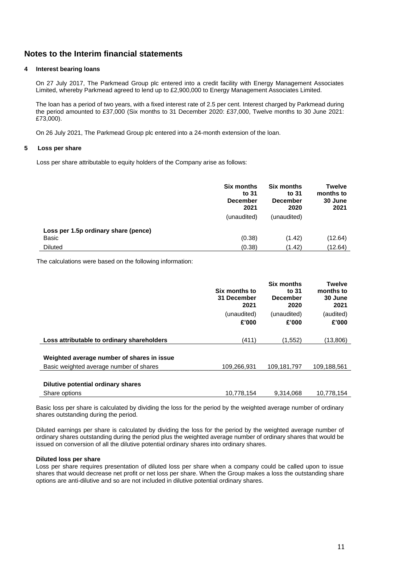### **Notes to the Interim financial statements**

#### **4 Interest bearing loans**

On 27 July 2017, The Parkmead Group plc entered into a credit facility with Energy Management Associates Limited, whereby Parkmead agreed to lend up to £2,900,000 to Energy Management Associates Limited.

The loan has a period of two years, with a fixed interest rate of 2.5 per cent. Interest charged by Parkmead during the period amounted to £37,000 (Six months to 31 December 2020: £37,000, Twelve months to 30 June 2021: £73,000).

On 26 July 2021, The Parkmead Group plc entered into a 24-month extension of the loan.

#### **5 Loss per share**

Loss per share attributable to equity holders of the Company arise as follows:

|                                               | <b>Six months</b><br>to 31<br><b>December</b><br>2021<br>(unaudited) | <b>Six months</b><br>to 31<br><b>December</b><br>2020<br>(unaudited) | <b>Twelve</b><br>months to<br>30 June<br>2021 |
|-----------------------------------------------|----------------------------------------------------------------------|----------------------------------------------------------------------|-----------------------------------------------|
| Loss per 1.5p ordinary share (pence)<br>Basic | (0.38)                                                               | (1.42)                                                               | (12.64)                                       |
| <b>Diluted</b>                                | (0.38)                                                               | (1.42)                                                               | (12.64)                                       |

The calculations were based on the following information:

|                                                                                       | Six months to<br>31 December<br>2021<br>(unaudited)<br>£'000 | <b>Six months</b><br>to 31<br><b>December</b><br>2020<br>(unaudited)<br>£'000 | <b>Twelve</b><br>months to<br>30 June<br>2021<br>(audited)<br>£'000 |
|---------------------------------------------------------------------------------------|--------------------------------------------------------------|-------------------------------------------------------------------------------|---------------------------------------------------------------------|
| Loss attributable to ordinary shareholders                                            | (411)                                                        | (1,552)                                                                       | (13,806)                                                            |
| Weighted average number of shares in issue<br>Basic weighted average number of shares | 109,266,931                                                  | 109,181,797                                                                   | 109,188,561                                                         |
|                                                                                       |                                                              |                                                                               |                                                                     |
| Dilutive potential ordinary shares                                                    |                                                              |                                                                               |                                                                     |
| Share options                                                                         | 10.778.154                                                   | 9.314.068                                                                     | 10.778.154                                                          |

Basic loss per share is calculated by dividing the loss for the period by the weighted average number of ordinary shares outstanding during the period.

Diluted earnings per share is calculated by dividing the loss for the period by the weighted average number of ordinary shares outstanding during the period plus the weighted average number of ordinary shares that would be issued on conversion of all the dilutive potential ordinary shares into ordinary shares.

#### **Diluted loss per share**

Loss per share requires presentation of diluted loss per share when a company could be called upon to issue shares that would decrease net profit or net loss per share. When the Group makes a loss the outstanding share options are anti-dilutive and so are not included in dilutive potential ordinary shares.